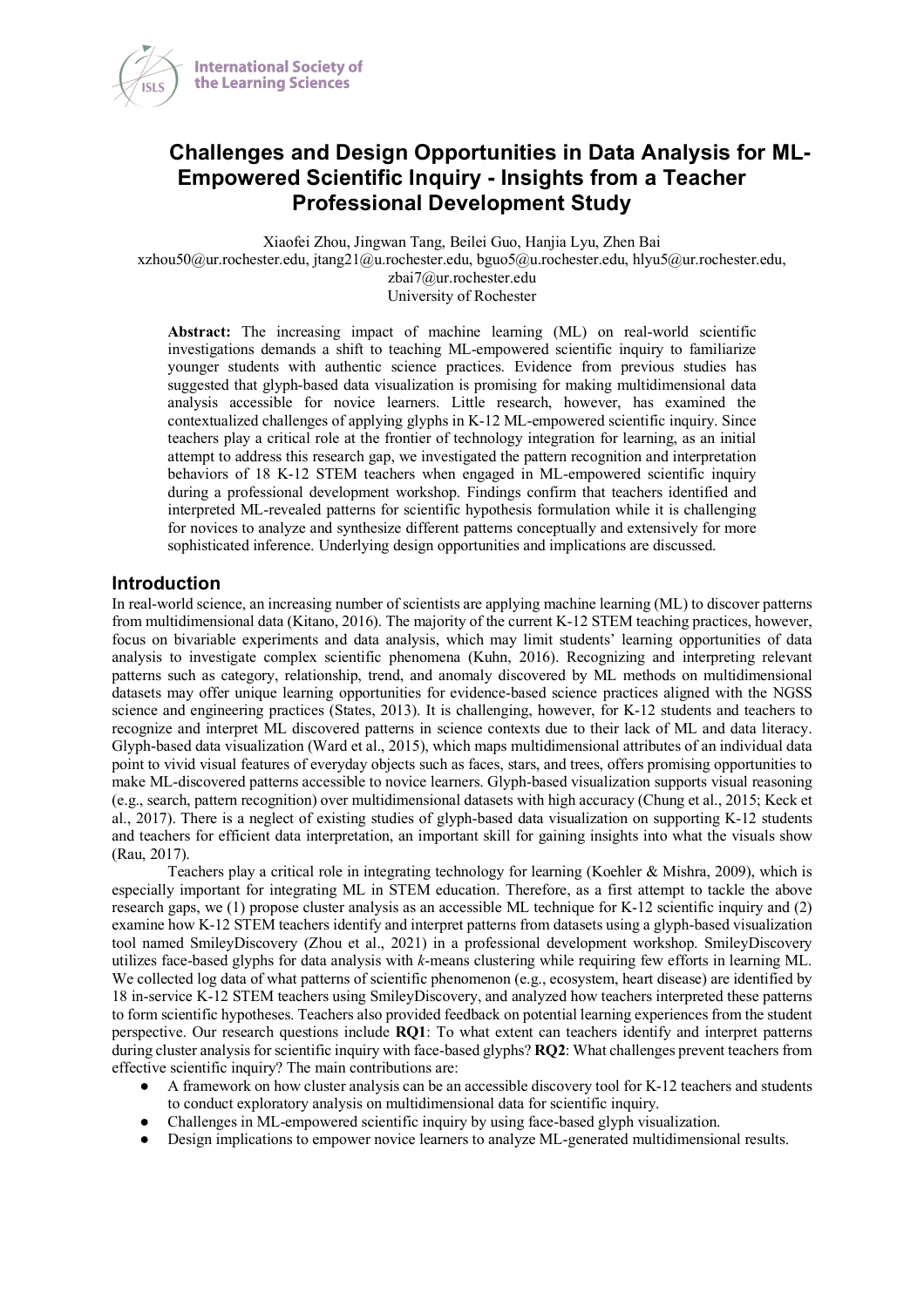

# **Challenges and Design Opportunities in Data Analysis for ML-Empowered Scientific Inquiry - Insights from a Teacher Professional Development Study**

Xiaofei Zhou, Jingwan Tang, Beilei Guo, Hanjia Lyu, Zhen Bai

xzhou50@ur.rochester.edu, jtang21@u.rochester.edu, bguo5@u.rochester.edu, hlyu5@ur.rochester.edu,

zbai7@ur.rochester.edu

University of Rochester

**Abstract:** The increasing impact of machine learning (ML) on real-world scientific investigations demands a shift to teaching ML-empowered scientific inquiry to familiarize younger students with authentic science practices. Evidence from previous studies has suggested that glyph-based data visualization is promising for making multidimensional data analysis accessible for novice learners. Little research, however, has examined the contextualized challenges of applying glyphs in K-12 ML-empowered scientific inquiry. Since teachers play a critical role at the frontier of technology integration for learning, as an initial attempt to address this research gap, we investigated the pattern recognition and interpretation behaviors of 18 K-12 STEM teachers when engaged in ML-empowered scientific inquiry during a professional development workshop. Findings confirm that teachers identified and interpreted ML-revealed patterns for scientific hypothesis formulation while it is challenging for novices to analyze and synthesize different patterns conceptually and extensively for more sophisticated inference. Underlying design opportunities and implications are discussed.

### **Introduction**

In real-world science, an increasing number of scientists are applying machine learning (ML) to discover patterns from multidimensional data (Kitano, 2016). The majority of the current K-12 STEM teaching practices, however, focus on bivariable experiments and data analysis, which may limit students' learning opportunities of data analysis to investigate complex scientific phenomena (Kuhn, 2016). Recognizing and interpreting relevant patterns such as category, relationship, trend, and anomaly discovered by ML methods on multidimensional datasets may offer unique learning opportunities for evidence-based science practices aligned with the NGSS science and engineering practices (States, 2013). It is challenging, however, for K-12 students and teachers to recognize and interpret ML discovered patterns in science contexts due to their lack of ML and data literacy. Glyph-based data visualization (Ward et al., 2015), which maps multidimensional attributes of an individual data point to vivid visual features of everyday objects such as faces, stars, and trees, offers promising opportunities to make ML-discovered patterns accessible to novice learners. Glyph-based visualization supports visual reasoning (e.g., search, pattern recognition) over multidimensional datasets with high accuracy (Chung et al., 2015; Keck et al., 2017). There is a neglect of existing studies of glyph-based data visualization on supporting K-12 students and teachers for efficient data interpretation, an important skill for gaining insights into what the visuals show (Rau, 2017).

Teachers play a critical role in integrating technology for learning (Koehler & Mishra, 2009), which is especially important for integrating ML in STEM education. Therefore, as a first attempt to tackle the above research gaps, we (1) propose cluster analysis as an accessible ML technique for K-12 scientific inquiry and (2) examine how K-12 STEM teachers identify and interpret patterns from datasets using a glyph-based visualization tool named SmileyDiscovery (Zhou et al., 2021) in a professional development workshop. SmileyDiscovery utilizes face-based glyphs for data analysis with *k*-means clustering while requiring few efforts in learning ML. We collected log data of what patterns of scientific phenomenon (e.g., ecosystem, heart disease) are identified by 18 in-service K-12 STEM teachers using SmileyDiscovery, and analyzed how teachers interpreted these patterns to form scientific hypotheses. Teachers also provided feedback on potential learning experiences from the student perspective. Our research questions include **RQ1**: To what extent can teachers identify and interpret patterns during cluster analysis for scientific inquiry with face-based glyphs? **RQ2**: What challenges prevent teachers from effective scientific inquiry? The main contributions are:

- A framework on how cluster analysis can be an accessible discovery tool for K-12 teachers and students to conduct exploratory analysis on multidimensional data for scientific inquiry.
- Challenges in ML-empowered scientific inquiry by using face-based glyph visualization.
- Design implications to empower novice learners to analyze ML-generated multidimensional results.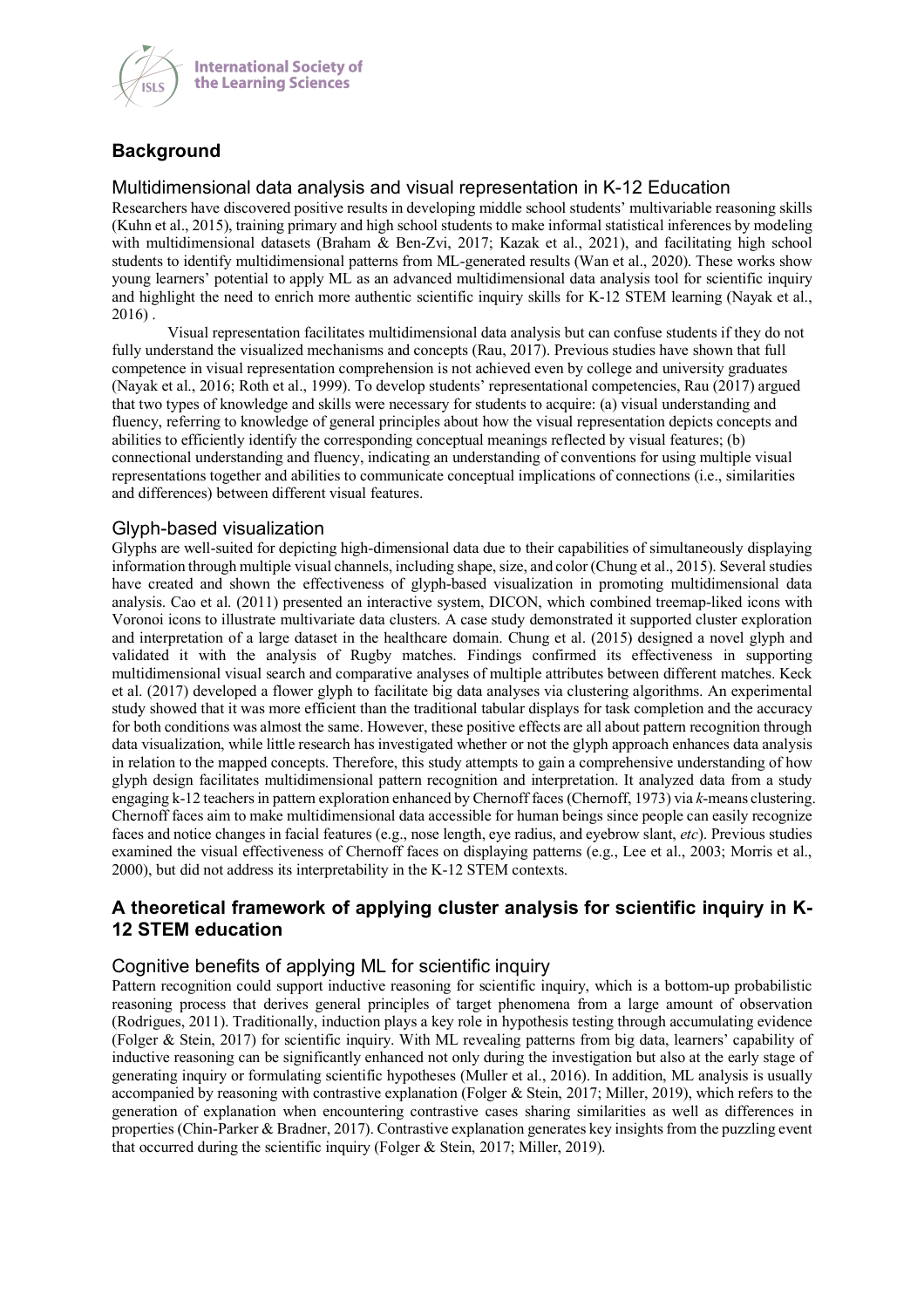

# **Background**

### Multidimensional data analysis and visual representation in K-12 Education

Researchers have discovered positive results in developing middle school students' multivariable reasoning skills (Kuhn et al., 2015), training primary and high school students to make informal statistical inferences by modeling with multidimensional datasets (Braham & Ben-Zvi, 2017; Kazak et al., 2021), and facilitating high school students to identify multidimensional patterns from ML-generated results (Wan et al., 2020). These works show young learners' potential to apply ML as an advanced multidimensional data analysis tool for scientific inquiry and highlight the need to enrich more authentic scientific inquiry skills for K-12 STEM learning (Nayak et al., 2016) .

Visual representation facilitates multidimensional data analysis but can confuse students if they do not fully understand the visualized mechanisms and concepts (Rau, 2017). Previous studies have shown that full competence in visual representation comprehension is not achieved even by college and university graduates (Nayak et al., 2016; Roth et al., 1999). To develop students' representational competencies, Rau (2017) argued that two types of knowledge and skills were necessary for students to acquire: (a) visual understanding and fluency, referring to knowledge of general principles about how the visual representation depicts concepts and abilities to efficiently identify the corresponding conceptual meanings reflected by visual features; (b) connectional understanding and fluency, indicating an understanding of conventions for using multiple visual representations together and abilities to communicate conceptual implications of connections (i.e., similarities and differences) between different visual features.

### Glyph-based visualization

Glyphs are well-suited for depicting high-dimensional data due to their capabilities of simultaneously displaying information through multiple visual channels, including shape, size, and color (Chung et al., 2015). Several studies have created and shown the effectiveness of glyph-based visualization in promoting multidimensional data analysis. Cao et al. (2011) presented an interactive system, DICON, which combined treemap-liked icons with Voronoi icons to illustrate multivariate data clusters. A case study demonstrated it supported cluster exploration and interpretation of a large dataset in the healthcare domain. Chung et al. (2015) designed a novel glyph and validated it with the analysis of Rugby matches. Findings confirmed its effectiveness in supporting multidimensional visual search and comparative analyses of multiple attributes between different matches. Keck et al. (2017) developed a flower glyph to facilitate big data analyses via clustering algorithms. An experimental study showed that it was more efficient than the traditional tabular displays for task completion and the accuracy for both conditions was almost the same. However, these positive effects are all about pattern recognition through data visualization, while little research has investigated whether or not the glyph approach enhances data analysis in relation to the mapped concepts. Therefore, this study attempts to gain a comprehensive understanding of how glyph design facilitates multidimensional pattern recognition and interpretation. It analyzed data from a study engaging k-12 teachers in pattern exploration enhanced by Chernoff faces (Chernoff, 1973) via *k*-means clustering. Chernoff faces aim to make multidimensional data accessible for human beings since people can easily recognize faces and notice changes in facial features (e.g., nose length, eye radius, and eyebrow slant, *etc*). Previous studies examined the visual effectiveness of Chernoff faces on displaying patterns (e.g., Lee et al., 2003; Morris et al., 2000), but did not address its interpretability in the K-12 STEM contexts.

# **A theoretical framework of applying cluster analysis for scientific inquiry in K-12 STEM education**

## Cognitive benefits of applying ML for scientific inquiry

Pattern recognition could support inductive reasoning for scientific inquiry, which is a bottom-up probabilistic reasoning process that derives general principles of target phenomena from a large amount of observation (Rodrigues, 2011). Traditionally, induction plays a key role in hypothesis testing through accumulating evidence (Folger & Stein, 2017) for scientific inquiry. With ML revealing patterns from big data, learners' capability of inductive reasoning can be significantly enhanced not only during the investigation but also at the early stage of generating inquiry or formulating scientific hypotheses (Muller et al., 2016). In addition, ML analysis is usually accompanied by reasoning with contrastive explanation (Folger & Stein, 2017; Miller, 2019), which refers to the generation of explanation when encountering contrastive cases sharing similarities as well as differences in properties (Chin-Parker & Bradner, 2017). Contrastive explanation generates key insights from the puzzling event that occurred during the scientific inquiry (Folger & Stein, 2017; Miller, 2019).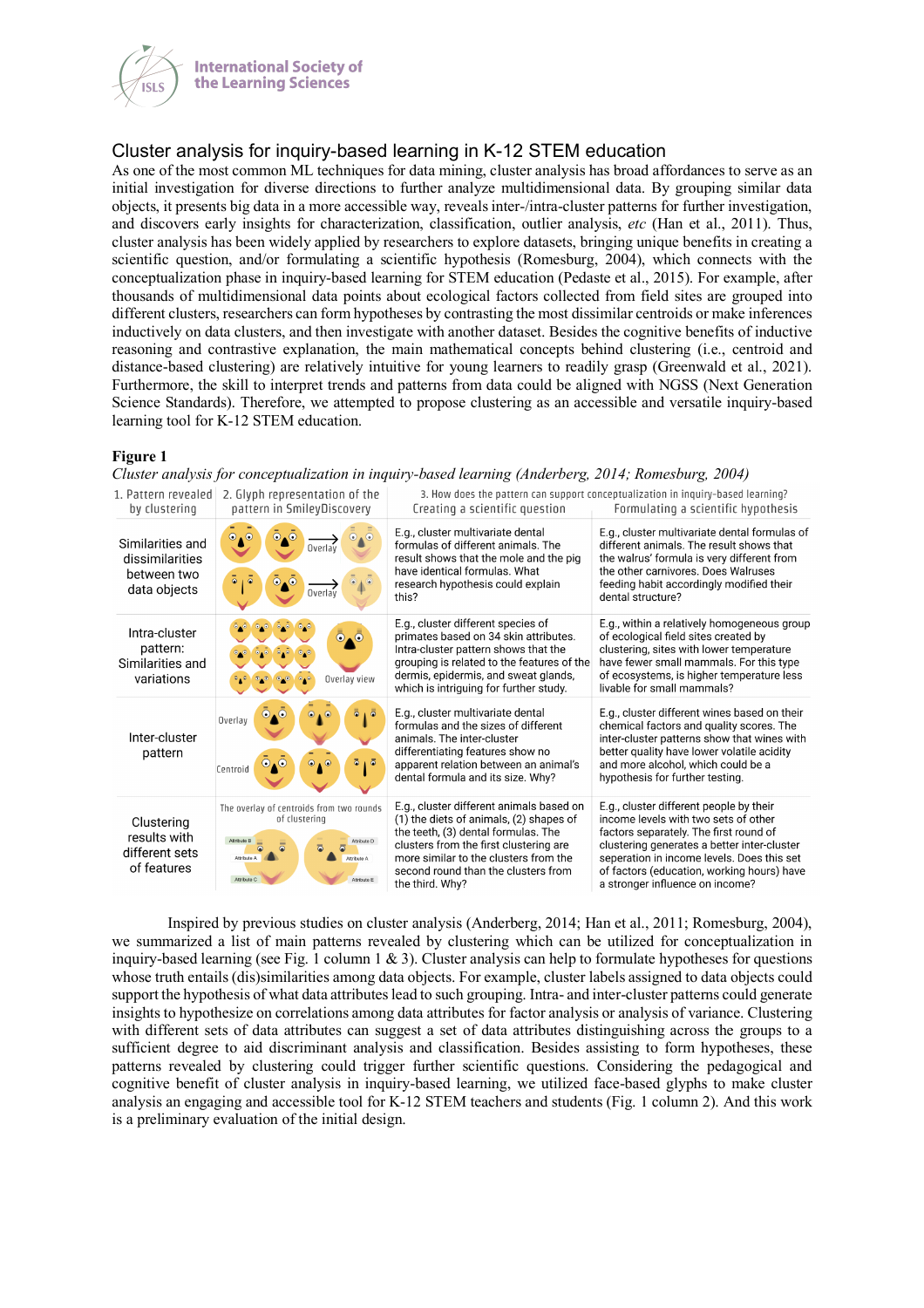

# Cluster analysis for inquiry-based learning in K-12 STEM education

As one of the most common ML techniques for data mining, cluster analysis has broad affordances to serve as an initial investigation for diverse directions to further analyze multidimensional data. By grouping similar data objects, it presents big data in a more accessible way, reveals inter-/intra-cluster patterns for further investigation, and discovers early insights for characterization, classification, outlier analysis, *etc* (Han et al., 2011). Thus, cluster analysis has been widely applied by researchers to explore datasets, bringing unique benefits in creating a scientific question, and/or formulating a scientific hypothesis (Romesburg, 2004), which connects with the conceptualization phase in inquiry-based learning for STEM education (Pedaste et al., 2015). For example, after thousands of multidimensional data points about ecological factors collected from field sites are grouped into different clusters, researchers can form hypotheses by contrasting the most dissimilar centroids or make inferences inductively on data clusters, and then investigate with another dataset. Besides the cognitive benefits of inductive reasoning and contrastive explanation, the main mathematical concepts behind clustering (i.e., centroid and distance-based clustering) are relatively intuitive for young learners to readily grasp (Greenwald et al., 2021). Furthermore, the skill to interpret trends and patterns from data could be aligned with NGSS (Next Generation Science Standards). Therefore, we attempted to propose clustering as an accessible and versatile inquiry-based learning tool for K-12 STEM education.

#### **Figure 1**

*Cluster analysis for conceptualization in inquiry-based learning (Anderberg, 2014; Romesburg, 2004)*

| 1. Pattern revealed<br>by clustering                               | 2. Glyph representation of the<br>pattern in SmileyDiscovery                                                                                        | 3. How does the pattern can support conceptualization in inquiry-based learning?<br>Creating a scientific question<br>Formulating a scientific hypothesis                                                                                                               |                                                                                                                                                                                                                                                                                                         |
|--------------------------------------------------------------------|-----------------------------------------------------------------------------------------------------------------------------------------------------|-------------------------------------------------------------------------------------------------------------------------------------------------------------------------------------------------------------------------------------------------------------------------|---------------------------------------------------------------------------------------------------------------------------------------------------------------------------------------------------------------------------------------------------------------------------------------------------------|
| Similarities and<br>dissimilarities<br>between two<br>data objects | $\odot$ . $\odot$<br>$\odot$<br>$_{\odot}$<br>$\bullet$<br>$\cdot^{\circ}$<br>Overlay<br>Ō.<br>$\bullet$<br>Overlay                                 | E.g., cluster multivariate dental<br>formulas of different animals. The<br>result shows that the mole and the pig<br>have identical formulas. What<br>research hypothesis could explain<br>this?                                                                        | E.g., cluster multivariate dental formulas of<br>different animals. The result shows that<br>the walrus' formula is very different from<br>the other carnivores. Does Walruses<br>feeding habit accordingly modified their<br>dental structure?                                                         |
| Intra-cluster<br>pattern:<br>Similarities and<br>variations        | $\odot_{\blacktriangle} \odot$<br>$\circ$ , $\circ$<br>Overlay view                                                                                 | E.g., cluster different species of<br>primates based on 34 skin attributes.<br>Intra-cluster pattern shows that the<br>grouping is related to the features of the<br>dermis, epidermis, and sweat glands,<br>which is intriguing for further study.                     | E.g., within a relatively homogeneous group<br>of ecological field sites created by<br>clustering, sites with lower temperature<br>have fewer small mammals. For this type<br>of ecosystems, is higher temperature less<br>livable for small mammals?                                                   |
| Inter-cluster<br>pattern                                           | $\odot$<br>$\circ$<br>Overlay<br>$\bullet$<br>$\odot$<br>5<br>ō<br>Centroid                                                                         | E.g., cluster multivariate dental<br>formulas and the sizes of different<br>animals. The inter-cluster<br>differentiating features show no<br>apparent relation between an animal's<br>dental formula and its size. Why?                                                | E.g., cluster different wines based on their<br>chemical factors and quality scores. The<br>inter-cluster patterns show that wines with<br>better quality have lower volatile acidity<br>and more alcohol, which could be a<br>hypothesis for further testing.                                          |
| Clustering<br>results with<br>different sets<br>of features        | The overlay of centroids from two rounds<br>of clustering<br>Attribute B<br>Attribute D<br>Attribute A<br>Attribute A<br>Attribute C<br>Attribute E | E.g., cluster different animals based on<br>(1) the diets of animals, (2) shapes of<br>the teeth, (3) dental formulas. The<br>clusters from the first clustering are<br>more similar to the clusters from the<br>second round than the clusters from<br>the third. Why? | E.g., cluster different people by their<br>income levels with two sets of other<br>factors separately. The first round of<br>clustering generates a better inter-cluster<br>seperation in income levels. Does this set<br>of factors (education, working hours) have<br>a stronger influence on income? |

Inspired by previous studies on cluster analysis (Anderberg, 2014; Han et al., 2011; Romesburg, 2004), we summarized a list of main patterns revealed by clustering which can be utilized for conceptualization in inquiry-based learning (see Fig. 1 column 1  $\&$  3). Cluster analysis can help to formulate hypotheses for questions whose truth entails (dis)similarities among data objects. For example, cluster labels assigned to data objects could support the hypothesis of what data attributes lead to such grouping. Intra- and inter-cluster patterns could generate insights to hypothesize on correlations among data attributes for factor analysis or analysis of variance. Clustering with different sets of data attributes can suggest a set of data attributes distinguishing across the groups to a sufficient degree to aid discriminant analysis and classification. Besides assisting to form hypotheses, these patterns revealed by clustering could trigger further scientific questions. Considering the pedagogical and cognitive benefit of cluster analysis in inquiry-based learning, we utilized face-based glyphs to make cluster analysis an engaging and accessible tool for K-12 STEM teachers and students (Fig. 1 column 2). And this work is a preliminary evaluation of the initial design.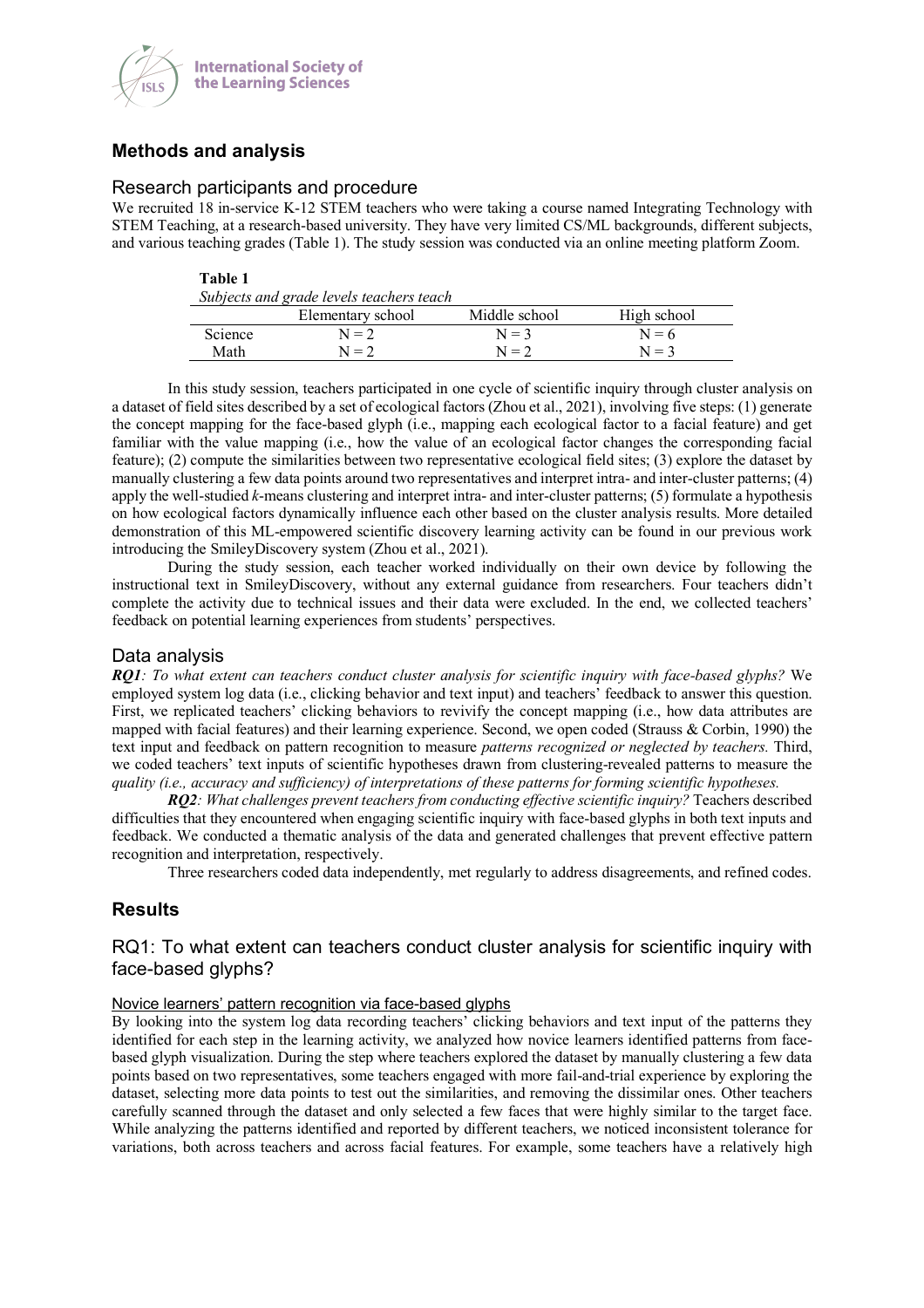

# **Methods and analysis**

### Research participants and procedure

We recruited 18 in-service K-12 STEM teachers who were taking a course named Integrating Technology with STEM Teaching, at a research-based university. They have very limited CS/ML backgrounds, different subjects, and various teaching grades (Table 1). The study session was conducted via an online meeting platform Zoom.

#### **Table 1**

| Subjects and grade levels teachers teach |                   |               |             |  |
|------------------------------------------|-------------------|---------------|-------------|--|
|                                          | Elementary school | Middle school | High school |  |
| <b>Science</b>                           | $N = 2$           | $N = 3$       | $N = 6$     |  |
| Math                                     | $N = 2$           | $N = 2$       | $N = 3$     |  |

In this study session, teachers participated in one cycle of scientific inquiry through cluster analysis on a dataset of field sites described by a set of ecological factors (Zhou et al., 2021), involving five steps: (1) generate the concept mapping for the face-based glyph (i.e., mapping each ecological factor to a facial feature) and get familiar with the value mapping (i.e., how the value of an ecological factor changes the corresponding facial feature); (2) compute the similarities between two representative ecological field sites; (3) explore the dataset by manually clustering a few data points around two representatives and interpret intra- and inter-cluster patterns; (4) apply the well-studied *k*-means clustering and interpret intra- and inter-cluster patterns; (5) formulate a hypothesis on how ecological factors dynamically influence each other based on the cluster analysis results. More detailed demonstration of this ML-empowered scientific discovery learning activity can be found in our previous work introducing the SmileyDiscovery system (Zhou et al., 2021).

During the study session, each teacher worked individually on their own device by following the instructional text in SmileyDiscovery, without any external guidance from researchers. Four teachers didn't complete the activity due to technical issues and their data were excluded. In the end, we collected teachers' feedback on potential learning experiences from students' perspectives.

### Data analysis

*RQ1: To what extent can teachers conduct cluster analysis for scientific inquiry with face-based glyphs?* We employed system log data (i.e., clicking behavior and text input) and teachers' feedback to answer this question. First, we replicated teachers' clicking behaviors to revivify the concept mapping (i.e., how data attributes are mapped with facial features) and their learning experience. Second, we open coded (Strauss & Corbin, 1990) the text input and feedback on pattern recognition to measure *patterns recognized or neglected by teachers.* Third, we coded teachers' text inputs of scientific hypotheses drawn from clustering-revealed patterns to measure the *quality (i.e., accuracy and sufficiency) of interpretations of these patterns for forming scientific hypotheses.* 

*RQ2: What challenges prevent teachers from conducting effective scientific inquiry?* Teachers described difficulties that they encountered when engaging scientific inquiry with face-based glyphs in both text inputs and feedback. We conducted a thematic analysis of the data and generated challenges that prevent effective pattern recognition and interpretation, respectively.

Three researchers coded data independently, met regularly to address disagreements, and refined codes.

## **Results**

## RQ1: To what extent can teachers conduct cluster analysis for scientific inquiry with face-based glyphs?

### Novice learners' pattern recognition via face-based glyphs

By looking into the system log data recording teachers' clicking behaviors and text input of the patterns they identified for each step in the learning activity, we analyzed how novice learners identified patterns from facebased glyph visualization. During the step where teachers explored the dataset by manually clustering a few data points based on two representatives, some teachers engaged with more fail-and-trial experience by exploring the dataset, selecting more data points to test out the similarities, and removing the dissimilar ones. Other teachers carefully scanned through the dataset and only selected a few faces that were highly similar to the target face. While analyzing the patterns identified and reported by different teachers, we noticed inconsistent tolerance for variations, both across teachers and across facial features. For example, some teachers have a relatively high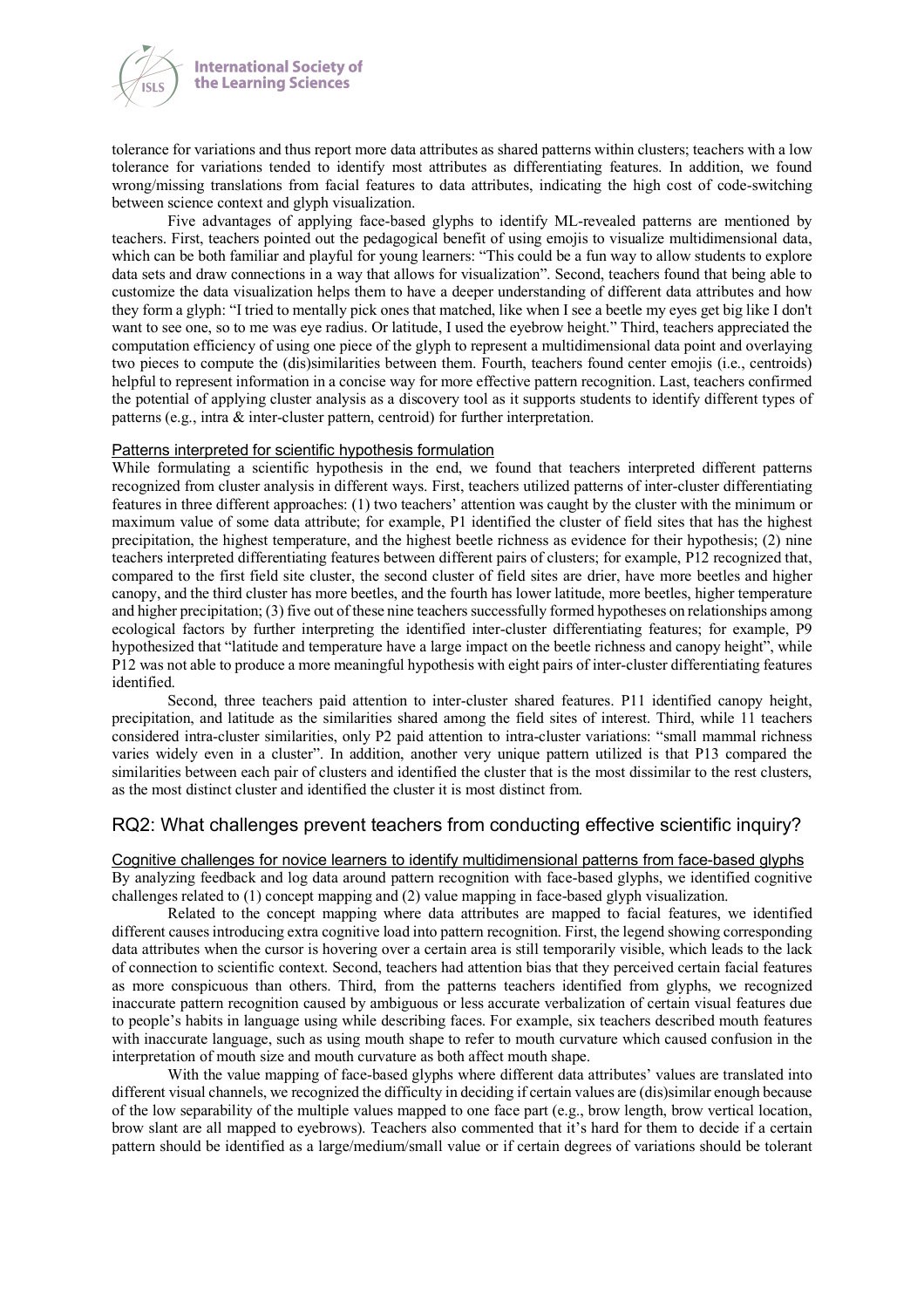

tolerance for variations and thus report more data attributes as shared patterns within clusters; teachers with a low tolerance for variations tended to identify most attributes as differentiating features. In addition, we found wrong/missing translations from facial features to data attributes, indicating the high cost of code-switching between science context and glyph visualization.

Five advantages of applying face-based glyphs to identify ML-revealed patterns are mentioned by teachers. First, teachers pointed out the pedagogical benefit of using emojis to visualize multidimensional data, which can be both familiar and playful for young learners: "This could be a fun way to allow students to explore data sets and draw connections in a way that allows for visualization". Second, teachers found that being able to customize the data visualization helps them to have a deeper understanding of different data attributes and how they form a glyph: "I tried to mentally pick ones that matched, like when I see a beetle my eyes get big like I don't want to see one, so to me was eye radius. Or latitude, I used the eyebrow height." Third, teachers appreciated the computation efficiency of using one piece of the glyph to represent a multidimensional data point and overlaying two pieces to compute the (dis)similarities between them. Fourth, teachers found center emojis (i.e., centroids) helpful to represent information in a concise way for more effective pattern recognition. Last, teachers confirmed the potential of applying cluster analysis as a discovery tool as it supports students to identify different types of patterns (e.g., intra & inter-cluster pattern, centroid) for further interpretation.

#### Patterns interpreted for scientific hypothesis formulation

While formulating a scientific hypothesis in the end, we found that teachers interpreted different patterns recognized from cluster analysis in different ways. First, teachers utilized patterns of inter-cluster differentiating features in three different approaches: (1) two teachers' attention was caught by the cluster with the minimum or maximum value of some data attribute; for example, P1 identified the cluster of field sites that has the highest precipitation, the highest temperature, and the highest beetle richness as evidence for their hypothesis; (2) nine teachers interpreted differentiating features between different pairs of clusters; for example, P12 recognized that, compared to the first field site cluster, the second cluster of field sites are drier, have more beetles and higher canopy, and the third cluster has more beetles, and the fourth has lower latitude, more beetles, higher temperature and higher precipitation; (3) five out of these nine teachers successfully formed hypotheses on relationships among ecological factors by further interpreting the identified inter-cluster differentiating features; for example, P9 hypothesized that "latitude and temperature have a large impact on the beetle richness and canopy height", while P12 was not able to produce a more meaningful hypothesis with eight pairs of inter-cluster differentiating features identified.

Second, three teachers paid attention to inter-cluster shared features. P11 identified canopy height, precipitation, and latitude as the similarities shared among the field sites of interest. Third, while 11 teachers considered intra-cluster similarities, only P2 paid attention to intra-cluster variations: "small mammal richness varies widely even in a cluster". In addition, another very unique pattern utilized is that P13 compared the similarities between each pair of clusters and identified the cluster that is the most dissimilar to the rest clusters, as the most distinct cluster and identified the cluster it is most distinct from.

## RQ2: What challenges prevent teachers from conducting effective scientific inquiry?

Cognitive challenges for novice learners to identify multidimensional patterns from face-based glyphs By analyzing feedback and log data around pattern recognition with face-based glyphs, we identified cognitive challenges related to (1) concept mapping and (2) value mapping in face-based glyph visualization.

Related to the concept mapping where data attributes are mapped to facial features, we identified different causes introducing extra cognitive load into pattern recognition. First, the legend showing corresponding data attributes when the cursor is hovering over a certain area is still temporarily visible, which leads to the lack of connection to scientific context. Second, teachers had attention bias that they perceived certain facial features as more conspicuous than others. Third, from the patterns teachers identified from glyphs, we recognized inaccurate pattern recognition caused by ambiguous or less accurate verbalization of certain visual features due to people's habits in language using while describing faces. For example, six teachers described mouth features with inaccurate language, such as using mouth shape to refer to mouth curvature which caused confusion in the interpretation of mouth size and mouth curvature as both affect mouth shape.

With the value mapping of face-based glyphs where different data attributes' values are translated into different visual channels, we recognized the difficulty in deciding if certain values are (dis)similar enough because of the low separability of the multiple values mapped to one face part (e.g., brow length, brow vertical location, brow slant are all mapped to eyebrows). Teachers also commented that it's hard for them to decide if a certain pattern should be identified as a large/medium/small value or if certain degrees of variations should be tolerant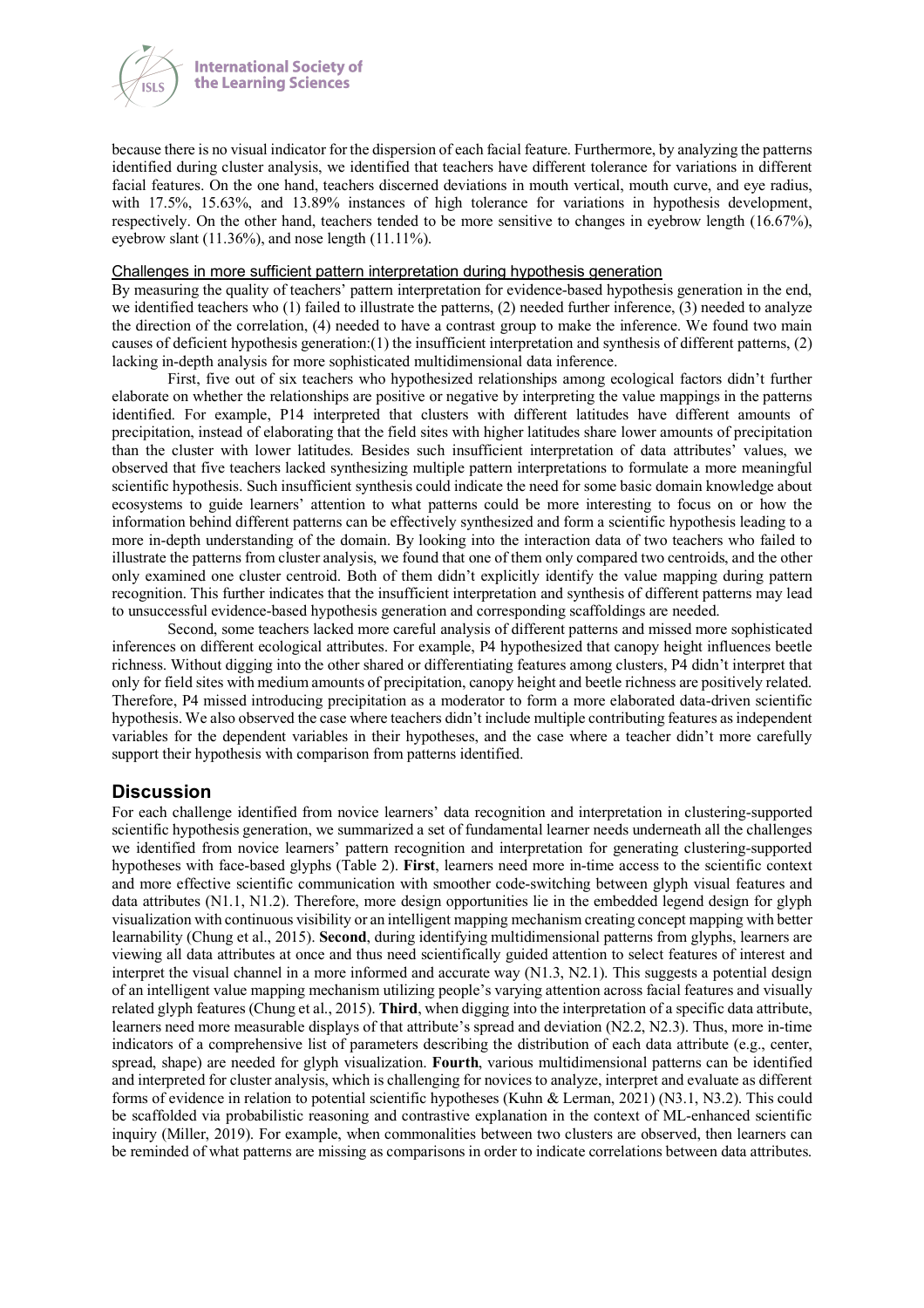

because there is no visual indicator for the dispersion of each facial feature. Furthermore, by analyzing the patterns identified during cluster analysis, we identified that teachers have different tolerance for variations in different facial features. On the one hand, teachers discerned deviations in mouth vertical, mouth curve, and eye radius, with 17.5%, 15.63%, and 13.89% instances of high tolerance for variations in hypothesis development, respectively. On the other hand, teachers tended to be more sensitive to changes in eyebrow length (16.67%), eyebrow slant (11.36%), and nose length (11.11%).

#### Challenges in more sufficient pattern interpretation during hypothesis generation

By measuring the quality of teachers' pattern interpretation for evidence-based hypothesis generation in the end, we identified teachers who (1) failed to illustrate the patterns, (2) needed further inference, (3) needed to analyze the direction of the correlation, (4) needed to have a contrast group to make the inference. We found two main causes of deficient hypothesis generation: $(1)$  the insufficient interpretation and synthesis of different patterns,  $(2)$ lacking in-depth analysis for more sophisticated multidimensional data inference.

First, five out of six teachers who hypothesized relationships among ecological factors didn't further elaborate on whether the relationships are positive or negative by interpreting the value mappings in the patterns identified. For example, P14 interpreted that clusters with different latitudes have different amounts of precipitation, instead of elaborating that the field sites with higher latitudes share lower amounts of precipitation than the cluster with lower latitudes. Besides such insufficient interpretation of data attributes' values, we observed that five teachers lacked synthesizing multiple pattern interpretations to formulate a more meaningful scientific hypothesis. Such insufficient synthesis could indicate the need for some basic domain knowledge about ecosystems to guide learners' attention to what patterns could be more interesting to focus on or how the information behind different patterns can be effectively synthesized and form a scientific hypothesis leading to a more in-depth understanding of the domain. By looking into the interaction data of two teachers who failed to illustrate the patterns from cluster analysis, we found that one of them only compared two centroids, and the other only examined one cluster centroid. Both of them didn't explicitly identify the value mapping during pattern recognition. This further indicates that the insufficient interpretation and synthesis of different patterns may lead to unsuccessful evidence-based hypothesis generation and corresponding scaffoldings are needed.

Second, some teachers lacked more careful analysis of different patterns and missed more sophisticated inferences on different ecological attributes. For example, P4 hypothesized that canopy height influences beetle richness. Without digging into the other shared or differentiating features among clusters, P4 didn't interpret that only for field sites with medium amounts of precipitation, canopy height and beetle richness are positively related. Therefore, P4 missed introducing precipitation as a moderator to form a more elaborated data-driven scientific hypothesis. We also observed the case where teachers didn't include multiple contributing features as independent variables for the dependent variables in their hypotheses, and the case where a teacher didn't more carefully support their hypothesis with comparison from patterns identified.

### **Discussion**

For each challenge identified from novice learners' data recognition and interpretation in clustering-supported scientific hypothesis generation, we summarized a set of fundamental learner needs underneath all the challenges we identified from novice learners' pattern recognition and interpretation for generating clustering-supported hypotheses with face-based glyphs (Table 2). **First**, learners need more in-time access to the scientific context and more effective scientific communication with smoother code-switching between glyph visual features and data attributes (N1.1, N1.2). Therefore, more design opportunities lie in the embedded legend design for glyph visualization with continuous visibility or an intelligent mapping mechanism creating concept mapping with better learnability (Chung et al., 2015). **Second**, during identifying multidimensional patterns from glyphs, learners are viewing all data attributes at once and thus need scientifically guided attention to select features of interest and interpret the visual channel in a more informed and accurate way (N1.3, N2.1). This suggests a potential design of an intelligent value mapping mechanism utilizing people's varying attention across facial features and visually related glyph features (Chung et al., 2015). **Third**, when digging into the interpretation of a specific data attribute, learners need more measurable displays of that attribute's spread and deviation (N2.2, N2.3). Thus, more in-time indicators of a comprehensive list of parameters describing the distribution of each data attribute (e.g., center, spread, shape) are needed for glyph visualization. **Fourth**, various multidimensional patterns can be identified and interpreted for cluster analysis, which is challenging for novices to analyze, interpret and evaluate as different forms of evidence in relation to potential scientific hypotheses (Kuhn & Lerman, 2021) (N3.1, N3.2). This could be scaffolded via probabilistic reasoning and contrastive explanation in the context of ML-enhanced scientific inquiry (Miller, 2019). For example, when commonalities between two clusters are observed, then learners can be reminded of what patterns are missing as comparisons in order to indicate correlations between data attributes.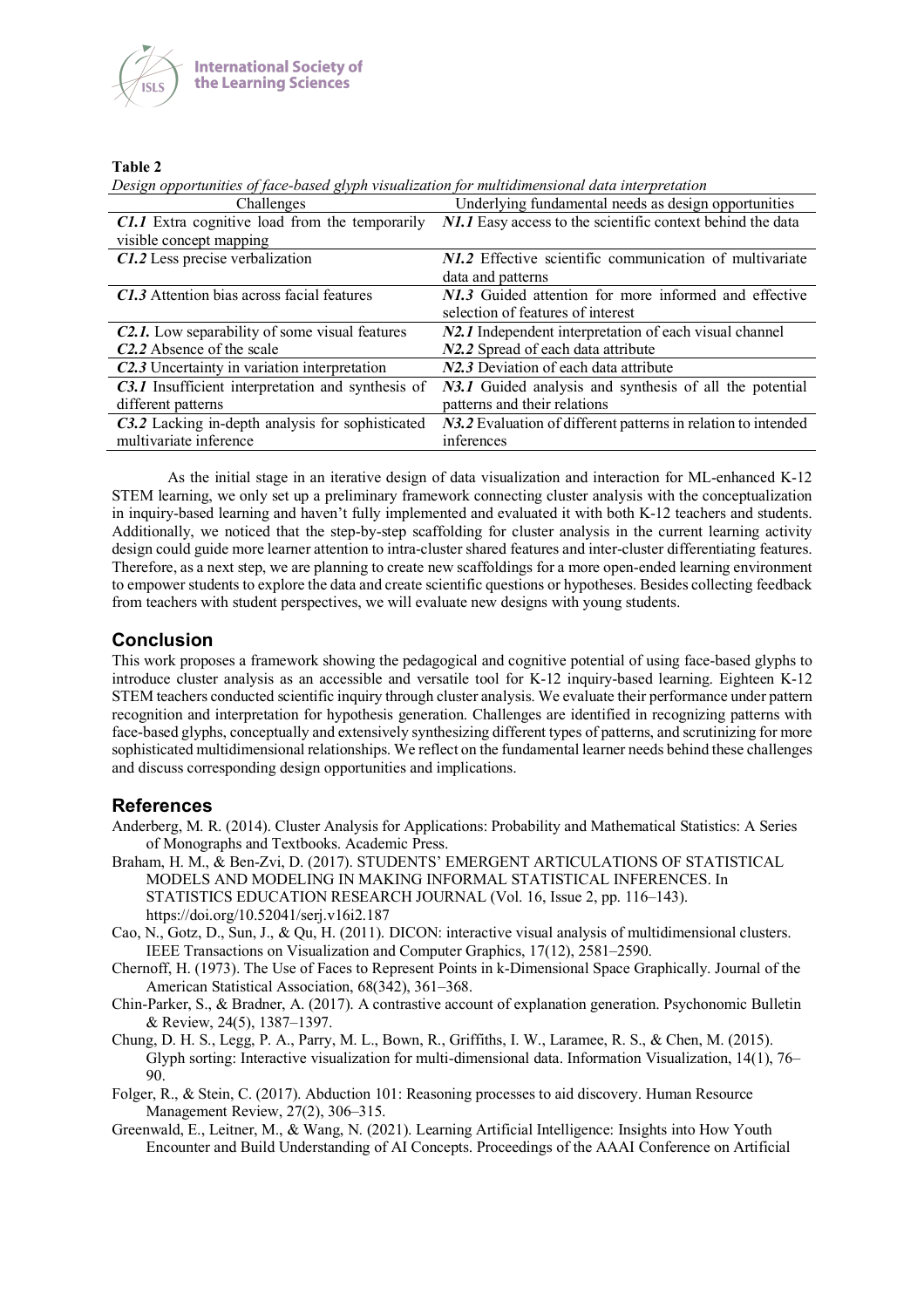

### **Table 2**

*Design opportunities of face-based glyph visualization for multidimensional data interpretation*

| 77 June 1920 - 1920 - 1930 - 1930 - 1930 - 1930 - 1930 - 1930 - 1930 - 1930 - 1930 - 1930 - 1930 - 1930 - 1930<br>Challenges | Underlying fundamental needs as design opportunities          |
|------------------------------------------------------------------------------------------------------------------------------|---------------------------------------------------------------|
| <b>C1.1</b> Extra cognitive load from the temporarily                                                                        | N1.1 Easy access to the scientific context behind the data    |
| visible concept mapping                                                                                                      |                                                               |
| C1.2 Less precise verbalization                                                                                              | N1.2 Effective scientific communication of multivariate       |
|                                                                                                                              | data and patterns                                             |
| C1.3 Attention bias across facial features                                                                                   | N1.3 Guided attention for more informed and effective         |
|                                                                                                                              | selection of features of interest                             |
| <b>C2.1.</b> Low separability of some visual features                                                                        | N2.1 Independent interpretation of each visual channel        |
| C <sub>2</sub> .2 Absence of the scale                                                                                       | N2.2 Spread of each data attribute                            |
| C <sub>2</sub> .3 Uncertainty in variation interpretation                                                                    | N2.3 Deviation of each data attribute                         |
| C3.1 Insufficient interpretation and synthesis of                                                                            | N3.1 Guided analysis and synthesis of all the potential       |
| different patterns                                                                                                           | patterns and their relations                                  |
| C3.2 Lacking in-depth analysis for sophisticated                                                                             | N3.2 Evaluation of different patterns in relation to intended |
| multivariate inference                                                                                                       | inferences                                                    |

As the initial stage in an iterative design of data visualization and interaction for ML-enhanced K-12 STEM learning, we only set up a preliminary framework connecting cluster analysis with the conceptualization in inquiry-based learning and haven't fully implemented and evaluated it with both K-12 teachers and students. Additionally, we noticed that the step-by-step scaffolding for cluster analysis in the current learning activity design could guide more learner attention to intra-cluster shared features and inter-cluster differentiating features. Therefore, as a next step, we are planning to create new scaffoldings for a more open-ended learning environment to empower students to explore the data and create scientific questions or hypotheses. Besides collecting feedback from teachers with student perspectives, we will evaluate new designs with young students.

# **Conclusion**

This work proposes a framework showing the pedagogical and cognitive potential of using face-based glyphs to introduce cluster analysis as an accessible and versatile tool for K-12 inquiry-based learning. Eighteen K-12 STEM teachers conducted scientific inquiry through cluster analysis. We evaluate their performance under pattern recognition and interpretation for hypothesis generation. Challenges are identified in recognizing patterns with face-based glyphs, conceptually and extensively synthesizing different types of patterns, and scrutinizing for more sophisticated multidimensional relationships. We reflect on the fundamental learner needs behind these challenges and discuss corresponding design opportunities and implications.

## **References**

- Anderberg, M. R. (2014). Cluster Analysis for Applications: Probability and Mathematical Statistics: A Series of Monographs and Textbooks. Academic Press.
- Braham, H. M., & Ben-Zvi, D. (2017). STUDENTS' EMERGENT ARTICULATIONS OF STATISTICAL MODELS AND MODELING IN MAKING INFORMAL STATISTICAL INFERENCES. In STATISTICS EDUCATION RESEARCH JOURNAL (Vol. 16, Issue 2, pp. 116–143). https://doi.org/10.52041/serj.v16i2.187
- Cao, N., Gotz, D., Sun, J., & Qu, H. (2011). DICON: interactive visual analysis of multidimensional clusters. IEEE Transactions on Visualization and Computer Graphics, 17(12), 2581–2590.
- Chernoff, H. (1973). The Use of Faces to Represent Points in k-Dimensional Space Graphically. Journal of the American Statistical Association, 68(342), 361–368.
- Chin-Parker, S., & Bradner, A. (2017). A contrastive account of explanation generation. Psychonomic Bulletin & Review, 24(5), 1387–1397.
- Chung, D. H. S., Legg, P. A., Parry, M. L., Bown, R., Griffiths, I. W., Laramee, R. S., & Chen, M. (2015). Glyph sorting: Interactive visualization for multi-dimensional data. Information Visualization, 14(1), 76– 90.
- Folger, R., & Stein, C. (2017). Abduction 101: Reasoning processes to aid discovery. Human Resource Management Review, 27(2), 306–315.
- Greenwald, E., Leitner, M., & Wang, N. (2021). Learning Artificial Intelligence: Insights into How Youth Encounter and Build Understanding of AI Concepts. Proceedings of the AAAI Conference on Artificial